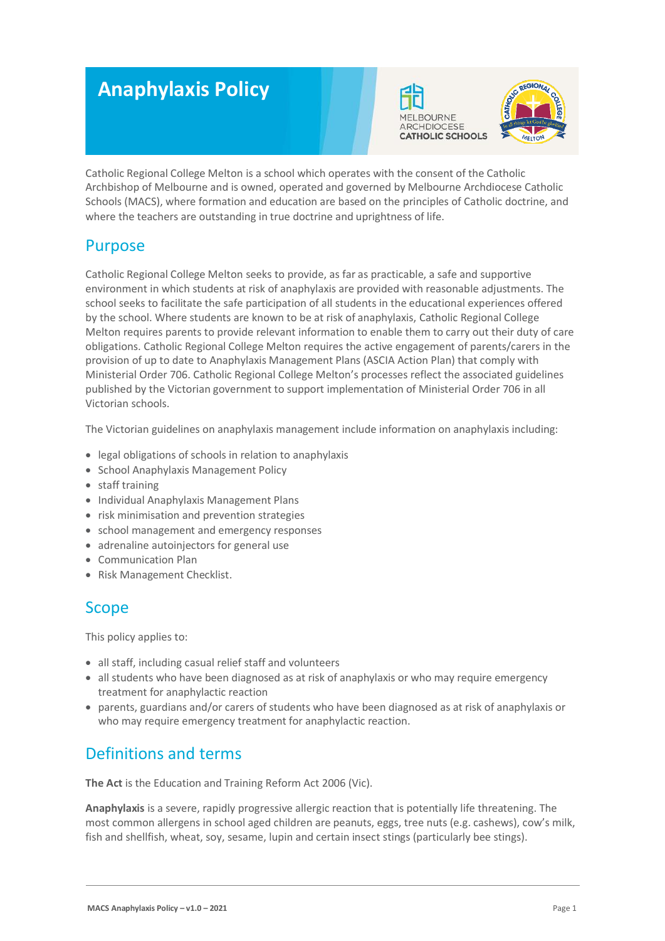# **Anaphylaxis Policy**





Catholic Regional College Melton is a school which operates with the consent of the Catholic Archbishop of Melbourne and is owned, operated and governed by Melbourne Archdiocese Catholic Schools (MACS), where formation and education are based on the principles of Catholic doctrine, and where the teachers are outstanding in true doctrine and uprightness of life.

# Purpose

Catholic Regional College Melton seeks to provide, as far as practicable, a safe and supportive environment in which students at risk of anaphylaxis are provided with reasonable adjustments. The school seeks to facilitate the safe participation of all students in the educational experiences offered by the school. Where students are known to be at risk of anaphylaxis, Catholic Regional College Melton requires parents to provide relevant information to enable them to carry out their duty of care obligations. Catholic Regional College Melton requires the active engagement of parents/carers in the provision of up to date to Anaphylaxis Management Plans (ASCIA Action Plan) that comply with Ministerial Order 706. Catholic Regional College Melton's processes reflect the associated guidelines published by the Victorian government to support implementation of Ministerial Order 706 in all Victorian schools.

The Victorian guidelines on anaphylaxis management include information on anaphylaxis including:

- legal obligations of schools in relation to anaphylaxis
- School Anaphylaxis Management Policy
- staff training
- Individual Anaphylaxis Management Plans
- risk minimisation and prevention strategies
- school management and emergency responses
- adrenaline autoinjectors for general use
- Communication Plan
- Risk Management Checklist.

# Scope

This policy applies to:

- all staff, including casual relief staff and volunteers
- all students who have been diagnosed as at risk of anaphylaxis or who may require emergency treatment for anaphylactic reaction
- parents, guardians and/or carers of students who have been diagnosed as at risk of anaphylaxis or who may require emergency treatment for anaphylactic reaction.

# Definitions and terms

**The Act** is the Education and Training Reform Act 2006 (Vic).

**Anaphylaxis** is a severe, rapidly progressive allergic reaction that is potentially life threatening. The most common allergens in school aged children are peanuts, eggs, tree nuts (e.g. cashews), cow's milk, fish and shellfish, wheat, soy, sesame, lupin and certain insect stings (particularly bee stings).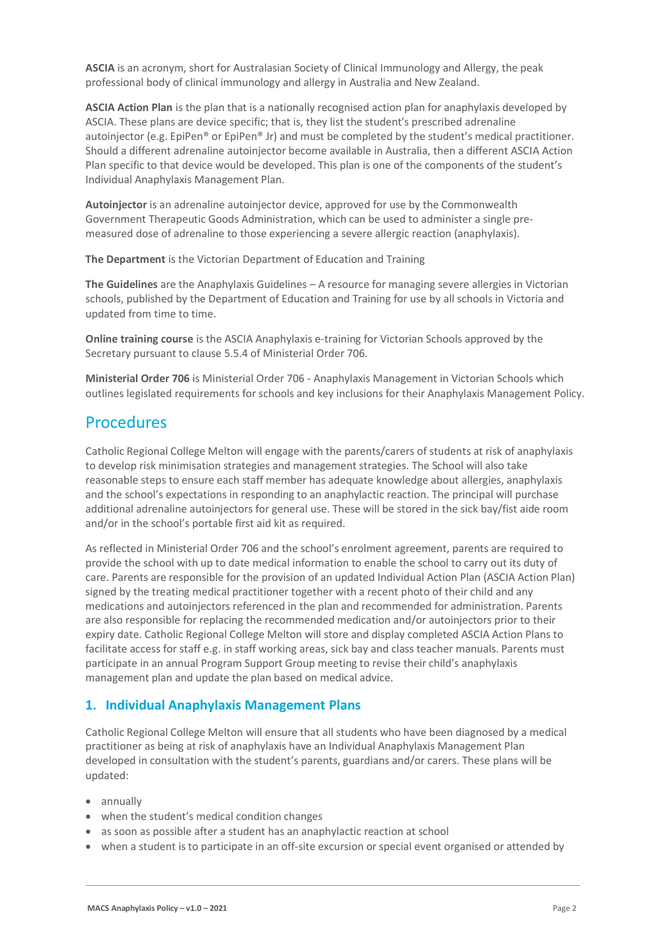**ASCIA** is an acronym, short for Australasian Society of Clinical Immunology and Allergy, the peak professional body of clinical immunology and allergy in Australia and New Zealand.

**ASCIA Action Plan** is the plan that is a nationally recognised action plan for anaphylaxis developed by ASCIA. These plans are device specific; that is, they list the student's prescribed adrenaline autoinjector (e.g. EpiPen® or EpiPen® Jr) and must be completed by the student's medical practitioner. Should a different adrenaline autoinjector become available in Australia, then a different ASCIA Action Plan specific to that device would be developed. This plan is one of the components of the student's Individual Anaphylaxis Management Plan.

**Autoinjector** is an adrenaline autoinjector device, approved for use by the Commonwealth Government Therapeutic Goods Administration, which can be used to administer a single premeasured dose of adrenaline to those experiencing a severe allergic reaction (anaphylaxis).

**The Department** is the Victorian Department of Education and Training

**The Guidelines** are the Anaphylaxis Guidelines – A resource for managing severe allergies in Victorian schools, published by the Department of Education and Training for use by all schools in Victoria and updated from time to time.

**Online training course** is the ASCIA Anaphylaxis e-training for Victorian Schools approved by the Secretary pursuant to clause 5.5.4 of Ministerial Order 706.

**Ministerial Order 706** is Ministerial Order 706 - Anaphylaxis Management in Victorian Schools which outlines legislated requirements for schools and key inclusions for their Anaphylaxis Management Policy.

## Procedures

Catholic Regional College Melton will engage with the parents/carers of students at risk of anaphylaxis to develop risk minimisation strategies and management strategies. The School will also take reasonable steps to ensure each staff member has adequate knowledge about allergies, anaphylaxis and the school's expectations in responding to an anaphylactic reaction. The principal will purchase additional adrenaline autoinjectors for general use. These will be stored in the sick bay/fist aide room and/or in the school's portable first aid kit as required.

As reflected in Ministerial Order 706 and the school's enrolment agreement, parents are required to provide the school with up to date medical information to enable the school to carry out its duty of care. Parents are responsible for the provision of an updated Individual Action Plan (ASCIA Action Plan) signed by the treating medical practitioner together with a recent photo of their child and any medications and autoinjectors referenced in the plan and recommended for administration. Parents are also responsible for replacing the recommended medication and/or autoinjectors prior to their expiry date. Catholic Regional College Melton will store and display completed ASCIA Action Plans to facilitate access for staff e.g. in staff working areas, sick bay and class teacher manuals. Parents must participate in an annual Program Support Group meeting to revise their child's anaphylaxis management plan and update the plan based on medical advice.

### **1. Individual Anaphylaxis Management Plans**

Catholic Regional College Melton will ensure that all students who have been diagnosed by a medical practitioner as being at risk of anaphylaxis have an Individual Anaphylaxis Management Plan developed in consultation with the student's parents, guardians and/or carers. These plans will be updated:

- annually
- when the student's medical condition changes
- as soon as possible after a student has an anaphylactic reaction at school
- when a student is to participate in an off-site excursion or special event organised or attended by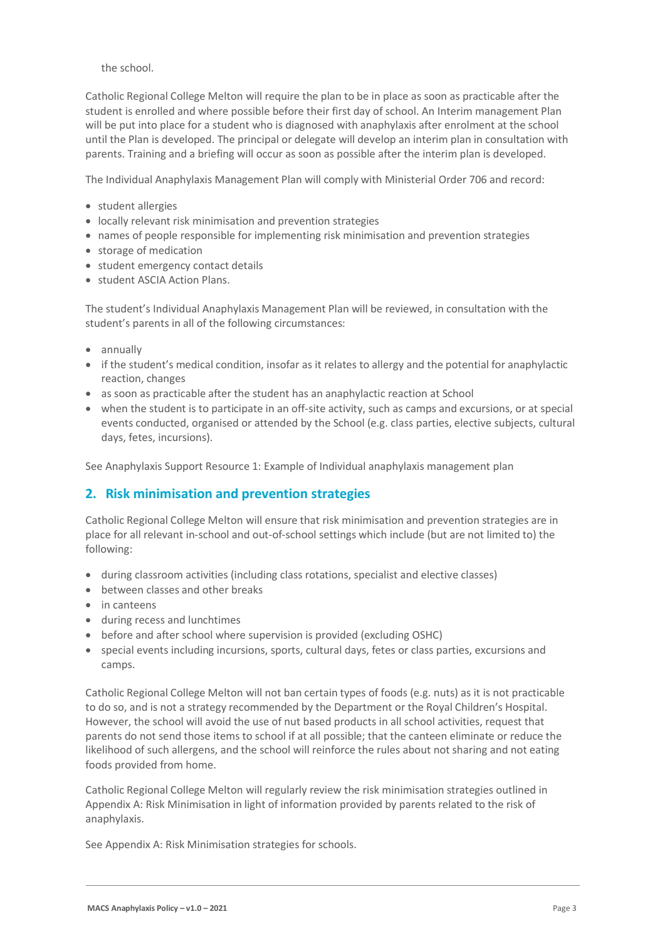the school.

Catholic Regional College Melton will require the plan to be in place as soon as practicable after the student is enrolled and where possible before their first day of school. An Interim management Plan will be put into place for a student who is diagnosed with anaphylaxis after enrolment at the school until the Plan is developed. The principal or delegate will develop an interim plan in consultation with parents. Training and a briefing will occur as soon as possible after the interim plan is developed.

The Individual Anaphylaxis Management Plan will comply with Ministerial Order 706 and record:

- student allergies
- locally relevant risk minimisation and prevention strategies
- names of people responsible for implementing risk minimisation and prevention strategies
- storage of medication
- student emergency contact details
- student ASCIA Action Plans.

The student's Individual Anaphylaxis Management Plan will be reviewed, in consultation with the student's parents in all of the following circumstances:

- annually
- if the student's medical condition, insofar as it relates to allergy and the potential for anaphylactic reaction, changes
- as soon as practicable after the student has an anaphylactic reaction at School
- when the student is to participate in an off-site activity, such as camps and excursions, or at special events conducted, organised or attended by the School (e.g. class parties, elective subjects, cultural days, fetes, incursions).

See Anaphylaxis Support Resource 1: Example of Individual anaphylaxis management plan

### **2. Risk minimisation and prevention strategies**

Catholic Regional College Melton will ensure that risk minimisation and prevention strategies are in place for all relevant in-school and out-of-school settings which include (but are not limited to) the following:

- during classroom activities (including class rotations, specialist and elective classes)
- between classes and other breaks
- in canteens
- during recess and lunchtimes
- before and after school where supervision is provided (excluding OSHC)
- special events including incursions, sports, cultural days, fetes or class parties, excursions and camps.

Catholic Regional College Melton will not ban certain types of foods (e.g. nuts) as it is not practicable to do so, and is not a strategy recommended by the Department or the Royal Children's Hospital. However, the school will avoid the use of nut based products in all school activities, request that parents do not send those items to school if at all possible; that the canteen eliminate or reduce the likelihood of such allergens, and the school will reinforce the rules about not sharing and not eating foods provided from home.

Catholic Regional College Melton will regularly review the risk minimisation strategies outlined in Appendix A: Risk Minimisation in light of information provided by parents related to the risk of anaphylaxis.

See Appendix A: Risk Minimisation strategies for schools.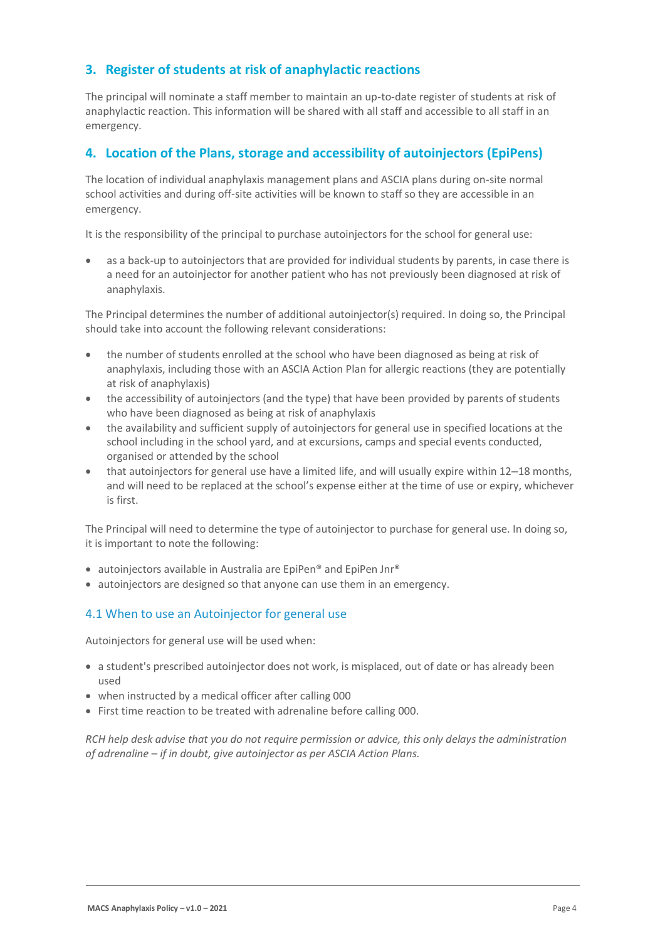### **3. Register of students at risk of anaphylactic reactions**

The principal will nominate a staff member to maintain an up-to-date register of students at risk of anaphylactic reaction. This information will be shared with all staff and accessible to all staff in an emergency.

#### **4. Location of the Plans, storage and accessibility of autoinjectors (EpiPens)**

The location of individual anaphylaxis management plans and ASCIA plans during on-site normal school activities and during off-site activities will be known to staff so they are accessible in an emergency.

It is the responsibility of the principal to purchase autoinjectors for the school for general use:

• as a back-up to autoinjectors that are provided for individual students by parents, in case there is a need for an autoinjector for another patient who has not previously been diagnosed at risk of anaphylaxis.

The Principal determines the number of additional autoinjector(s) required. In doing so, the Principal should take into account the following relevant considerations:

- the number of students enrolled at the school who have been diagnosed as being at risk of anaphylaxis, including those with an ASCIA Action Plan for allergic reactions (they are potentially at risk of anaphylaxis)
- the accessibility of autoinjectors (and the type) that have been provided by parents of students who have been diagnosed as being at risk of anaphylaxis
- the availability and sufficient supply of autoinjectors for general use in specified locations at the school including in the school yard, and at excursions, camps and special events conducted, organised or attended by the school
- that autoinjectors for general use have a limited life, and will usually expire within 12–18 months, and will need to be replaced at the school's expense either at the time of use or expiry, whichever is first.

The Principal will need to determine the type of autoinjector to purchase for general use. In doing so, it is important to note the following:

- autoinjectors available in Australia are EpiPen® and EpiPen Jnr®
- autoinjectors are designed so that anyone can use them in an emergency.

#### 4.1 When to use an Autoinjector for general use

Autoinjectors for general use will be used when:

- a student's prescribed autoinjector does not work, is misplaced, out of date or has already been used
- when instructed by a medical officer after calling 000
- First time reaction to be treated with adrenaline before calling 000.

*RCH help desk advise that you do not require permission or advice, this only delays the administration of adrenaline – if in doubt, give autoinjector as per ASCIA Action Plans.*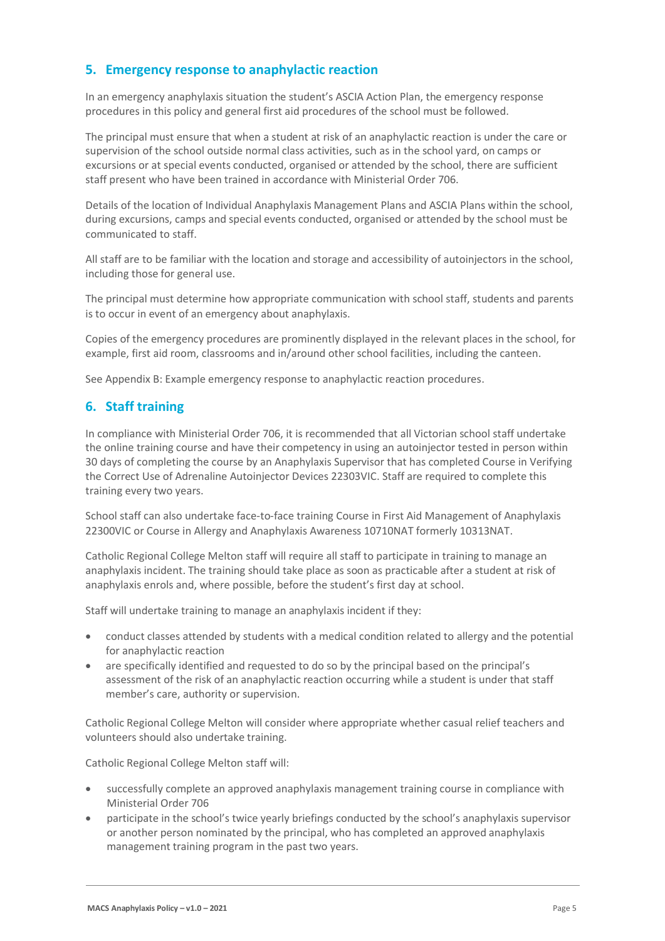### **5. Emergency response to anaphylactic reaction**

In an emergency anaphylaxis situation the student's ASCIA Action Plan, the emergency response procedures in this policy and general first aid procedures of the school must be followed.

The principal must ensure that when a student at risk of an anaphylactic reaction is under the care or supervision of the school outside normal class activities, such as in the school yard, on camps or excursions or at special events conducted, organised or attended by the school, there are sufficient staff present who have been trained in accordance with Ministerial Order 706.

Details of the location of Individual Anaphylaxis Management Plans and ASCIA Plans within the school, during excursions, camps and special events conducted, organised or attended by the school must be communicated to staff.

All staff are to be familiar with the location and storage and accessibility of autoinjectors in the school, including those for general use.

The principal must determine how appropriate communication with school staff, students and parents is to occur in event of an emergency about anaphylaxis.

Copies of the emergency procedures are prominently displayed in the relevant places in the school, for example, first aid room, classrooms and in/around other school facilities, including the canteen.

See Appendix B: Example emergency response to anaphylactic reaction procedures.

#### **6. Staff training**

In compliance with Ministerial Order 706, it is recommended that all Victorian school staff undertake the online training course and have their competency in using an autoinjector tested in person within 30 days of completing the course by an Anaphylaxis Supervisor that has completed Course in Verifying the Correct Use of Adrenaline Autoinjector Devices 22303VIC. Staff are required to complete this training every two years.

School staff can also undertake face-to-face training Course in First Aid Management of Anaphylaxis 22300VIC or Course in Allergy and Anaphylaxis Awareness 10710NAT formerly 10313NAT.

Catholic Regional College Melton staff will require all staff to participate in training to manage an anaphylaxis incident. The training should take place as soon as practicable after a student at risk of anaphylaxis enrols and, where possible, before the student's first day at school.

Staff will undertake training to manage an anaphylaxis incident if they:

- conduct classes attended by students with a medical condition related to allergy and the potential for anaphylactic reaction
- are specifically identified and requested to do so by the principal based on the principal's assessment of the risk of an anaphylactic reaction occurring while a student is under that staff member's care, authority or supervision.

Catholic Regional College Melton will consider where appropriate whether casual relief teachers and volunteers should also undertake training.

Catholic Regional College Melton staff will:

- successfully complete an approved anaphylaxis management training course in compliance with Ministerial Order 706
- participate in the school's twice yearly briefings conducted by the school's anaphylaxis supervisor or another person nominated by the principal, who has completed an approved anaphylaxis management training program in the past two years.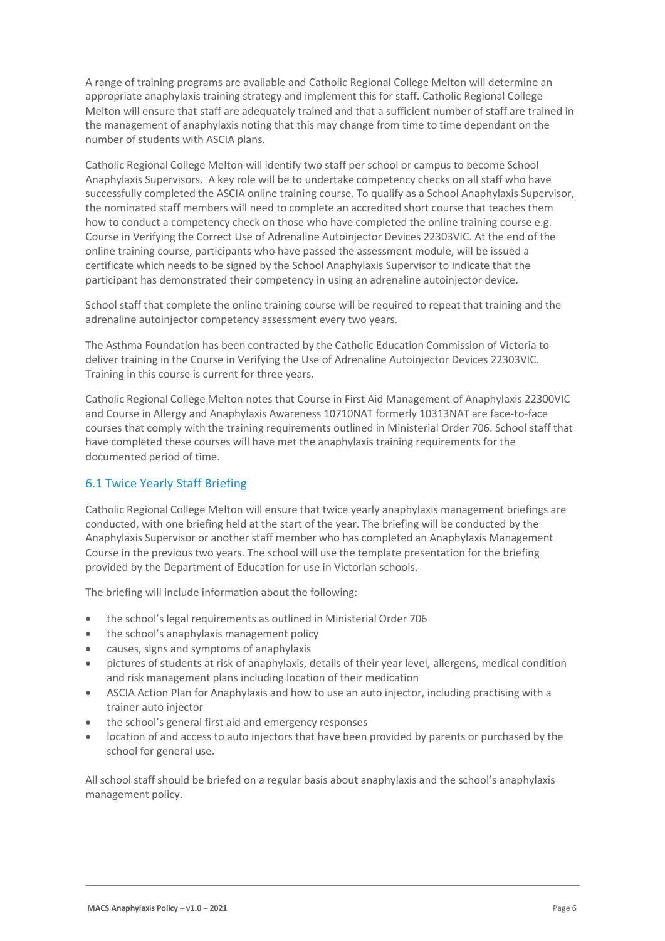A range of training programs are available and Catholic Regional College Melton will determine an appropriate anaphylaxis training strategy and implement this for staff. Catholic Regional College Melton will ensure that staff are adequately trained and that a sufficient number of staff are trained in the management of anaphylaxis noting that this may change from time to time dependant on the number of students with ASCIA plans.

Catholic Regional College Melton will identify two staff per school or campus to become School Anaphylaxis Supervisors. A key role will be to undertake competency checks on all staff who have successfully completed the ASCIA online training course. To qualify as a School Anaphylaxis Supervisor, the nominated staff members will need to complete an accredited short course that teaches them how to conduct a competency check on those who have completed the online training course e.g. Course in Verifying the Correct Use of Adrenaline Autoinjector Devices 22303VIC. At the end of the online training course, participants who have passed the assessment module, will be issued a certificate which needs to be signed by the School Anaphylaxis Supervisor to indicate that the participant has demonstrated their competency in using an adrenaline autoinjector device.

School staff that complete the online training course will be required to repeat that training and the adrenaline autoinjector competency assessment every two years.

The Asthma Foundation has been contracted by the Catholic Education Commission of Victoria to deliver training in the Course in Verifying the Use of Adrenaline Autoinjector Devices 22303VIC. Training in this course is current for three years.

Catholic Regional College Melton notes that Course in First Aid Management of Anaphylaxis 22300VIC and Course in Allergy and Anaphylaxis Awareness 10710NAT formerly 10313NAT are face-to-face courses that comply with the training requirements outlined in Ministerial Order 706. School staff that have completed these courses will have met the anaphylaxis training requirements for the documented period of time.

### 6.1 Twice Yearly Staff Briefing

Catholic Regional College Melton will ensure that twice yearly anaphylaxis management briefings are conducted, with one briefing held at the start of the year. The briefing will be conducted by the Anaphylaxis Supervisor or another staff member who has completed an Anaphylaxis Management Course in the previous two years. The school will use the template presentation for the briefing provided by the Department of Education for use in Victorian schools.

The briefing will include information about the following:

- the school's legal requirements as outlined in Ministerial Order 706
- the school's anaphylaxis management policy
- causes, signs and symptoms of anaphylaxis
- pictures of students at risk of anaphylaxis, details of their year level, allergens, medical condition and risk management plans including location of their medication
- ASCIA Action Plan for Anaphylaxis and how to use an auto injector, including practising with a trainer auto injector
- the school's general first aid and emergency responses
- location of and access to auto injectors that have been provided by parents or purchased by the school for general use.

All school staff should be briefed on a regular basis about anaphylaxis and the school's anaphylaxis management policy.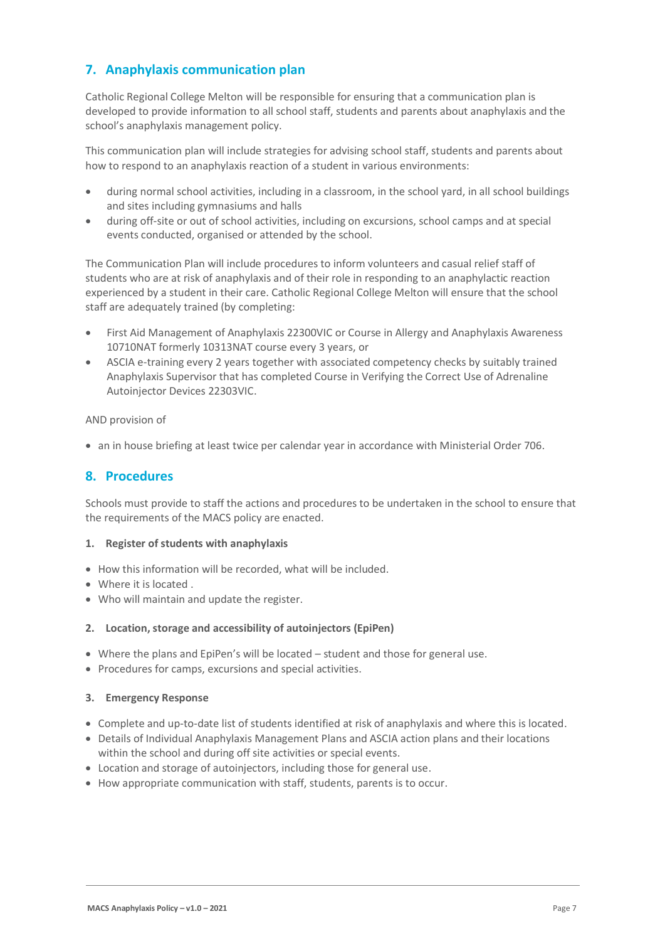### **7. Anaphylaxis communication plan**

Catholic Regional College Melton will be responsible for ensuring that a communication plan is developed to provide information to all school staff, students and parents about anaphylaxis and the school's anaphylaxis management policy.

This communication plan will include strategies for advising school staff, students and parents about how to respond to an anaphylaxis reaction of a student in various environments:

- during normal school activities, including in a classroom, in the school yard, in all school buildings and sites including gymnasiums and halls
- during off-site or out of school activities, including on excursions, school camps and at special events conducted, organised or attended by the school.

The Communication Plan will include procedures to inform volunteers and casual relief staff of students who are at risk of anaphylaxis and of their role in responding to an anaphylactic reaction experienced by a student in their care. Catholic Regional College Melton will ensure that the school staff are adequately trained (by completing:

- First Aid Management of Anaphylaxis 22300VIC or Course in Allergy and Anaphylaxis Awareness 10710NAT formerly 10313NAT course every 3 years, or
- ASCIA e-training every 2 years together with associated competency checks by suitably trained Anaphylaxis Supervisor that has completed Course in Verifying the Correct Use of Adrenaline Autoinjector Devices 22303VIC.

AND provision of

• an in house briefing at least twice per calendar year in accordance with Ministerial Order 706.

#### **8. Procedures**

Schools must provide to staff the actions and procedures to be undertaken in the school to ensure that the requirements of the MACS policy are enacted.

#### **1. Register of students with anaphylaxis**

- How this information will be recorded, what will be included.
- Where it is located .
- Who will maintain and update the register.

#### **2. Location, storage and accessibility of autoinjectors (EpiPen)**

- Where the plans and EpiPen's will be located student and those for general use.
- Procedures for camps, excursions and special activities.

#### **3. Emergency Response**

- Complete and up-to-date list of students identified at risk of anaphylaxis and where this is located.
- Details of Individual Anaphylaxis Management Plans and ASCIA action plans and their locations within the school and during off site activities or special events.
- Location and storage of autoinjectors, including those for general use.
- How appropriate communication with staff, students, parents is to occur.